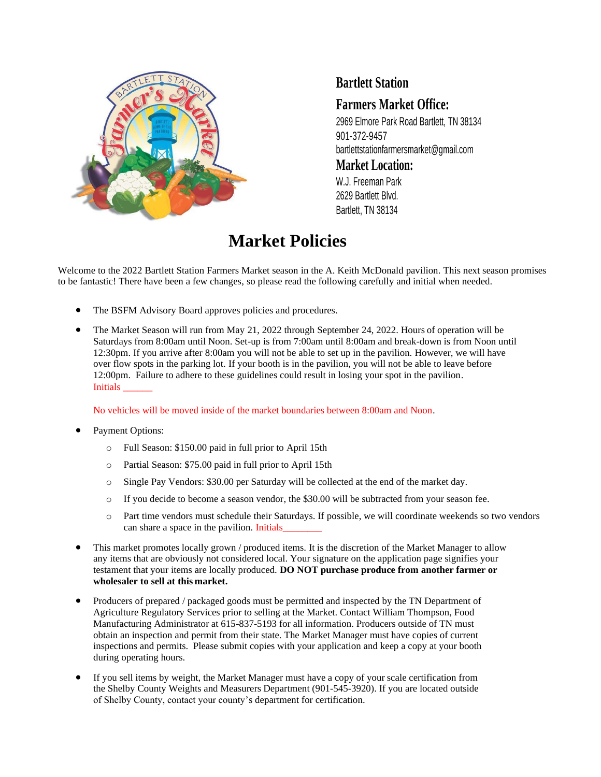

## **Bartlett Station**

## **Farmers Market Office:**

2969 Elmore Park Road Bartlett, TN 38134 901-372-9457 [bartlettstationfarmersmarket@gmail.com](mailto:bartlettstationfarmersmarket@gmail.com)

#### **Market Location:**

W.J. Freeman Park 2629 Bartlett Blvd. Bartlett, TN 38134

# **Market Policies**

Welcome to the 2022 Bartlett Station Farmers Market season in the A. Keith McDonald pavilion. This next season promises to be fantastic! There have been a few changes, so please read the following carefully and initial when needed.

- The BSFM Advisory Board approves policies and procedures.
- The Market Season will run from May 21, 2022 through September 24, 2022. Hours of operation will be Saturdays from 8:00am until Noon. Set-up is from 7:00am until 8:00am and break-down is from Noon until 12:30pm. If you arrive after 8:00am you will not be able to set up in the pavilion. However, we will have over flow spots in the parking lot. If your booth is in the pavilion, you will not be able to leave before 12:00pm. Failure to adhere to these guidelines could result in losing your spot in the pavilion. Initials \_\_\_\_\_\_

No vehicles will be moved inside of the market boundaries between 8:00am and Noon.

- Payment Options:
	- o Full Season: \$150.00 paid in full prior to April 15th
	- o Partial Season: \$75.00 paid in full prior to April 15th
	- o Single Pay Vendors: \$30.00 per Saturday will be collected at the end of the market day.
	- o If you decide to become a season vendor, the \$30.00 will be subtracted from your season fee.
	- o Part time vendors must schedule their Saturdays. If possible, we will coordinate weekends so two vendors can share a space in the pavilion. Initials
- This market promotes locally grown / produced items. It is the discretion of the Market Manager to allow any items that are obviously not considered local. Your signature on the application page signifies your testament that your items are locally produced. **DO NOT purchase produce from another farmer or wholesaler to sell at this market.**
- Producers of prepared / packaged goods must be permitted and inspected by the TN Department of Agriculture Regulatory Services prior to selling at the Market. Contact William Thompson, Food Manufacturing Administrator at 615-837-5193 for all information. Producers outside of TN must obtain an inspection and permit from their state. The Market Manager must have copies of current inspections and permits. Please submit copies with your application and keep a copy at your booth during operating hours.
- If you sell items by weight, the Market Manager must have a copy of your scale certification from the Shelby County Weights and Measurers Department (901-545-3920). If you are located outside of Shelby County, contact your county's department for certification.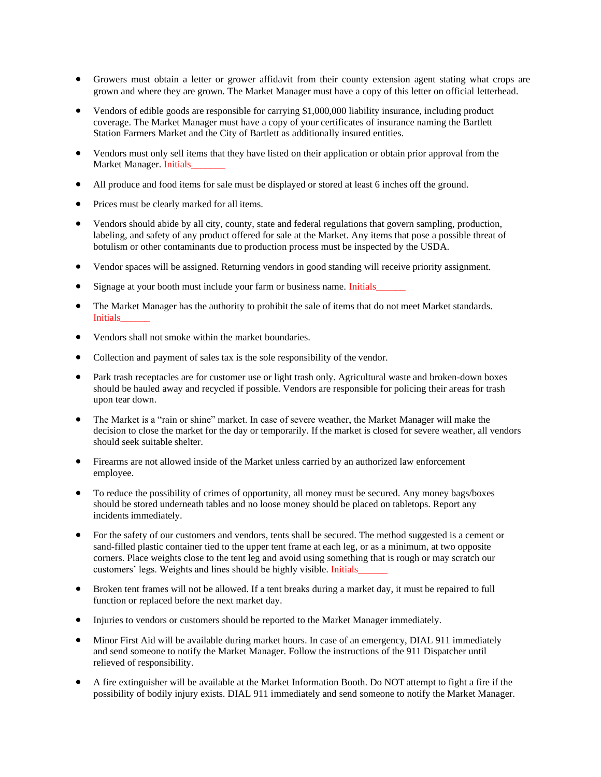- Growers must obtain a letter or grower affidavit from their county extension agent stating what crops are grown and where they are grown. The Market Manager must have a copy of this letter on official letterhead.
- Vendors of edible goods are responsible for carrying \$1,000,000 liability insurance, including product coverage. The Market Manager must have a copy of your certificates of insurance naming the Bartlett Station Farmers Market and the City of Bartlett as additionally insured entities.
- Vendors must only sell items that they have listed on their application or obtain prior approval from the Market Manager. Initials
- All produce and food items for sale must be displayed or stored at least 6 inches off the ground.
- Prices must be clearly marked for all items.
- Vendors should abide by all city, county, state and federal regulations that govern sampling, production, labeling, and safety of any product offered for sale at the Market. Any items that pose a possible threat of botulism or other contaminants due to production process must be inspected by the USDA.
- Vendor spaces will be assigned. Returning vendors in good standing will receive priority assignment.
- Signage at your booth must include your farm or business name. Initials
- The Market Manager has the authority to prohibit the sale of items that do not meet Market standards. Initials\_\_\_\_\_\_
- Vendors shall not smoke within the market boundaries.
- Collection and payment of sales tax is the sole responsibility of the vendor.
- Park trash receptacles are for customer use or light trash only. Agricultural waste and broken-down boxes should be hauled away and recycled if possible. Vendors are responsible for policing their areas for trash upon tear down.
- The Market is a "rain or shine" market. In case of severe weather, the Market Manager will make the decision to close the market for the day or temporarily. If the market is closed for severe weather, all vendors should seek suitable shelter.
- Firearms are not allowed inside of the Market unless carried by an authorized law enforcement employee.
- To reduce the possibility of crimes of opportunity, all money must be secured. Any money bags/boxes should be stored underneath tables and no loose money should be placed on tabletops. Report any incidents immediately.
- For the safety of our customers and vendors, tents shall be secured. The method suggested is a cement or sand-filled plastic container tied to the upper tent frame at each leg, or as a minimum, at two opposite corners. Place weights close to the tent leg and avoid using something that is rough or may scratch our customers' legs. Weights and lines should be highly visible. Initials\_\_\_\_\_\_
- Broken tent frames will not be allowed. If a tent breaks during a market day, it must be repaired to full function or replaced before the next market day.
- Injuries to vendors or customers should be reported to the Market Manager immediately.
- Minor First Aid will be available during market hours. In case of an emergency, DIAL 911 immediately and send someone to notify the Market Manager. Follow the instructions of the 911 Dispatcher until relieved of responsibility.
- A fire extinguisher will be available at the Market Information Booth. Do NOT attempt to fight a fire if the possibility of bodily injury exists. DIAL 911 immediately and send someone to notify the Market Manager.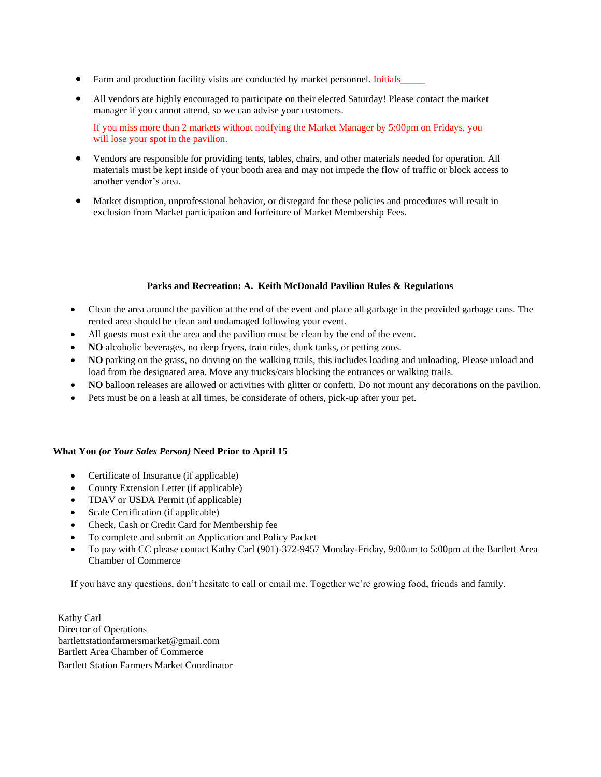- Farm and production facility visits are conducted by market personnel. Initials\_
- All vendors are highly encouraged to participate on their elected Saturday! Please contact the market manager if you cannot attend, so we can advise your customers.

If you miss more than 2 markets without notifying the Market Manager by 5:00pm on Fridays, you will lose your spot in the pavilion.

- Vendors are responsible for providing tents, tables, chairs, and other materials needed for operation. All materials must be kept inside of your booth area and may not impede the flow of traffic or block access to another vendor's area.
- Market disruption, unprofessional behavior, or disregard for these policies and procedures will result in exclusion from Market participation and forfeiture of Market Membership Fees.

#### **Parks and Recreation: A. Keith McDonald Pavilion Rules & Regulations**

- Clean the area around the pavilion at the end of the event and place all garbage in the provided garbage cans. The rented area should be clean and undamaged following your event.
- All guests must exit the area and the pavilion must be clean by the end of the event.
- **NO** alcoholic beverages, no deep fryers, train rides, dunk tanks, or petting zoos.
- **NO** parking on the grass, no driving on the walking trails, this includes loading and unloading. Please unload and load from the designated area. Move any trucks/cars blocking the entrances or walking trails.
- **NO** balloon releases are allowed or activities with glitter or confetti. Do not mount any decorations on the pavilion.
- Pets must be on a leash at all times, be considerate of others, pick-up after your pet.

#### **What You** *(or Your Sales Person)* **Need Prior to April 15**

- Certificate of Insurance (if applicable)
- County Extension Letter (if applicable)
- TDAV or USDA Permit (if applicable)
- Scale Certification (if applicable)
- Check, Cash or Credit Card for Membership fee
- To complete and submit an Application and Policy Packet
- To pay with CC please contact Kathy Carl (901)-372-9457 Monday-Friday, 9:00am to 5:00pm at the Bartlett Area Chamber of Commerce

If you have any questions, don't hesitate to call or email me. Together we're growing food, friends and family.

Kathy Carl Director of Operations bartlettstationfarmersmarket@gmail.com Bartlett Area Chamber of Commerce Bartlett Station Farmers Market Coordinator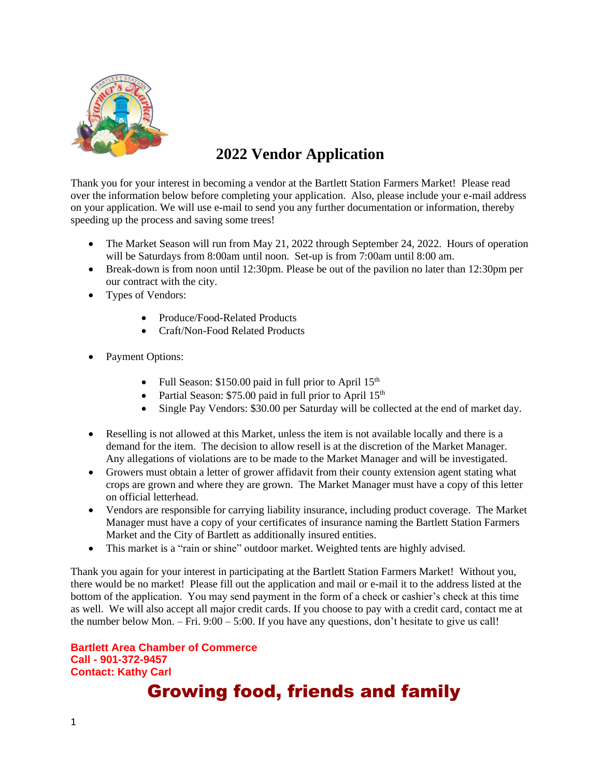

# **2022 Vendor Application**

Thank you for your interest in becoming a vendor at the Bartlett Station Farmers Market! Please read over the information below before completing your application. Also, please include your e-mail address on your application. We will use e-mail to send you any further documentation or information, thereby speeding up the process and saving some trees!

- The Market Season will run from May 21, 2022 through September 24, 2022. Hours of operation will be Saturdays from 8:00am until noon. Set-up is from 7:00am until 8:00 am.
- Break-down is from noon until 12:30pm. Please be out of the pavilion no later than 12:30pm per our contract with the city.
- Types of Vendors:
	- Produce/Food-Related Products
	- Craft/Non-Food Related Products
- Payment Options:
	- Full Season:  $$150.00$  paid in full prior to April  $15<sup>th</sup>$
	- Partial Season: \$75.00 paid in full prior to April  $15<sup>th</sup>$
	- Single Pay Vendors: \$30.00 per Saturday will be collected at the end of market day.
- Reselling is not allowed at this Market, unless the item is not available locally and there is a demand for the item. The decision to allow resell is at the discretion of the Market Manager. Any allegations of violations are to be made to the Market Manager and will be investigated.
- Growers must obtain a letter of grower affidavit from their county extension agent stating what crops are grown and where they are grown. The Market Manager must have a copy of this letter on official letterhead.
- Vendors are responsible for carrying liability insurance, including product coverage. The Market Manager must have a copy of your certificates of insurance naming the Bartlett Station Farmers Market and the City of Bartlett as additionally insured entities.
- This market is a "rain or shine" outdoor market. Weighted tents are highly advised.

Thank you again for your interest in participating at the Bartlett Station Farmers Market! Without you, there would be no market! Please fill out the application and mail or e-mail it to the address listed at the bottom of the application. You may send payment in the form of a check or cashier's check at this time as well. We will also accept all major credit cards. If you choose to pay with a credit card, contact me at the number below Mon. – Fri.  $9:00 - 5:00$ . If you have any questions, don't hesitate to give us call!

**Bartlett Area Chamber of Commerce Call - 901-372-9457 Contact: Kathy Carl** 

# Growing food, friends and family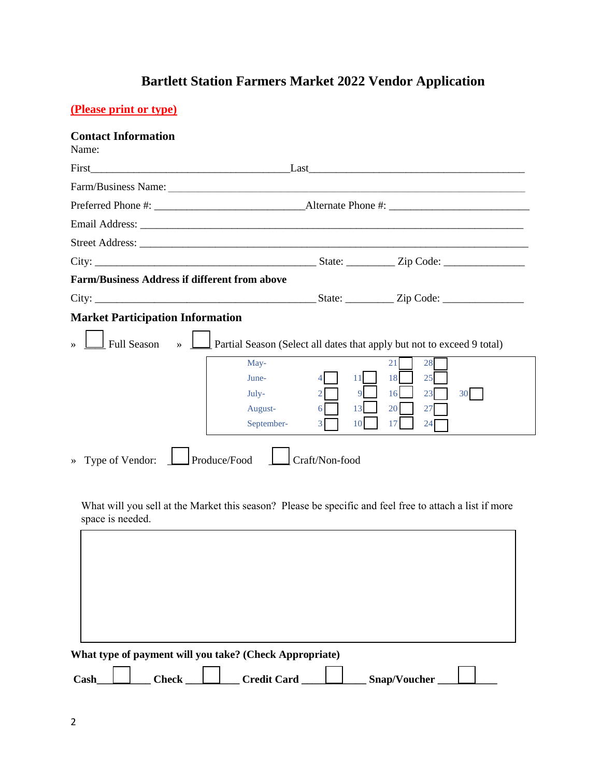## **Bartlett Station Farmers Market 2022 Vendor Application**

#### **(Please print or type)**

#### **Contact Information**

| Name:                                                |                                                                                                                                                         |  |  |  |  |  |
|------------------------------------------------------|---------------------------------------------------------------------------------------------------------------------------------------------------------|--|--|--|--|--|
| First                                                | $\qquad \qquad \text{Last} \qquad$                                                                                                                      |  |  |  |  |  |
|                                                      |                                                                                                                                                         |  |  |  |  |  |
|                                                      |                                                                                                                                                         |  |  |  |  |  |
|                                                      |                                                                                                                                                         |  |  |  |  |  |
|                                                      |                                                                                                                                                         |  |  |  |  |  |
|                                                      |                                                                                                                                                         |  |  |  |  |  |
| <b>Farm/Business Address if different from above</b> |                                                                                                                                                         |  |  |  |  |  |
|                                                      |                                                                                                                                                         |  |  |  |  |  |
| <b>Market Participation Information</b>              |                                                                                                                                                         |  |  |  |  |  |
| <b>Full Season</b><br>$\rightarrow$                  | Partial Season (Select all dates that apply but not to exceed 9 total)                                                                                  |  |  |  |  |  |
|                                                      | 28<br>May-<br>21<br>June-<br>18<br>25<br>11<br>16<br>23<br>$July-$<br>30<br>August-<br>27<br>13<br><b>20</b><br>6<br>September-<br>17<br>24<br>10<br>3. |  |  |  |  |  |
| Produce/Food<br>» Type of Vendor:<br>Craft/Non-food  |                                                                                                                                                         |  |  |  |  |  |

What will you sell at the Market this season? Please be specific and feel free to attach a list if more space is needed.

|      |              | What type of payment will you take? (Check Appropriate) |              |  |
|------|--------------|---------------------------------------------------------|--------------|--|
| Cash | <b>Check</b> | <b>Credit Card</b>                                      | Snap/Voucher |  |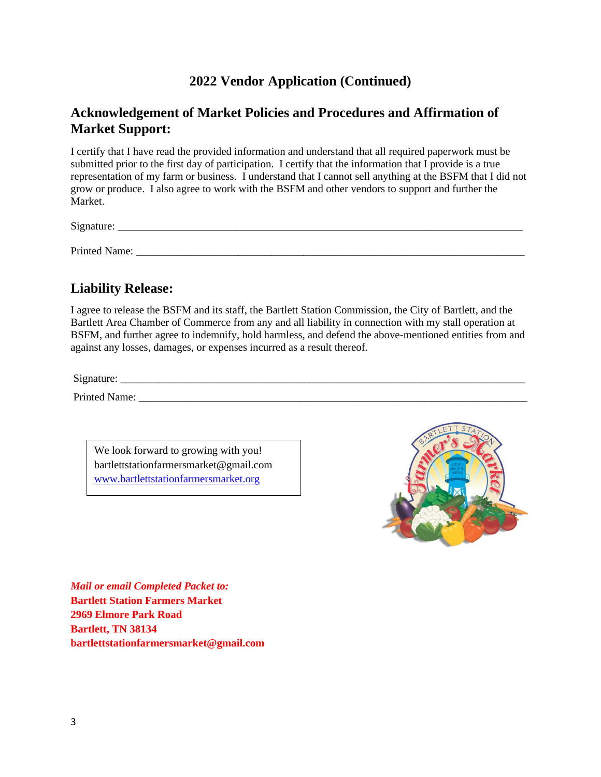#### **2022 Vendor Application (Continued)**

#### **Acknowledgement of Market Policies and Procedures and Affirmation of Market Support:**

I certify that I have read the provided information and understand that all required paperwork must be submitted prior to the first day of participation. I certify that the information that I provide is a true representation of my farm or business. I understand that I cannot sell anything at the BSFM that I did not grow or produce. I also agree to work with the BSFM and other vendors to support and further the Market.

 $Signature:$ 

Printed Name: \_\_\_\_\_\_\_\_\_\_\_\_\_\_\_\_\_\_\_\_\_\_\_\_\_\_\_\_\_\_\_\_\_\_\_\_\_\_\_\_\_\_\_\_\_\_\_\_\_\_\_\_\_\_\_\_\_\_\_\_\_\_\_\_\_\_\_\_\_\_\_\_

### **Liability Release:**

I agree to release the BSFM and its staff, the Bartlett Station Commission, the City of Bartlett, and the Bartlett Area Chamber of Commerce from any and all liability in connection with my stall operation at BSFM, and further agree to indemnify, hold harmless, and defend the above-mentioned entities from and against any losses, damages, or expenses incurred as a result thereof.

Signature:

Printed Name: \_\_\_\_\_\_\_\_\_\_\_\_\_\_\_\_\_\_\_\_\_\_\_\_\_\_\_\_\_\_\_\_\_\_\_\_\_\_\_\_\_\_\_\_\_\_\_\_\_\_\_\_\_\_\_\_\_\_\_\_\_\_\_\_\_\_\_\_\_\_\_\_

We look forward to growing with you! bartlettstationfarmersmarket@gmail.com [www.bartlettstationfarmersmarket.org](../../2021%20Season/2018%20Farmers%20Market/Forms/www.bartlettstationfarmersmarket.org)



*Mail or email Completed Packet to:* **Bartlett Station Farmers Market 2969 Elmore Park Road Bartlett, TN 38134 bartlettstationfarmersmarket@gmail.com**